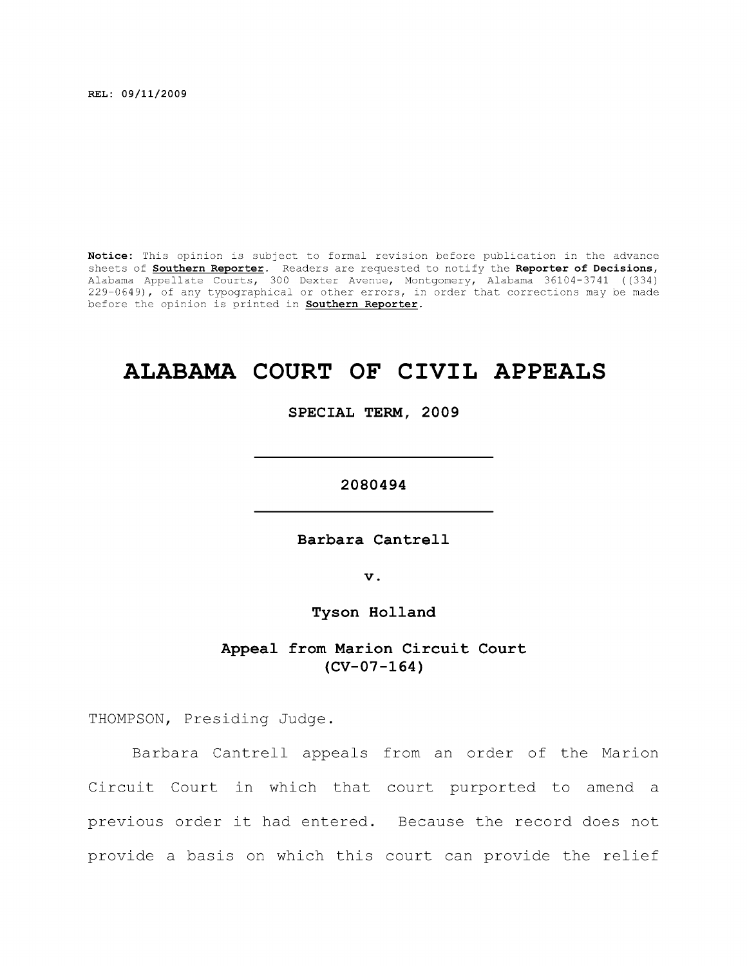**REL: 09/11/2009** 

**Notice:** This opinion is subject to formal revision before publication in the advance sheets of **Southern Reporter.** Readers are requested to notify the **Reporter of Decisions,**  Alabama Appellate Courts, 300 Dexter Avenue, Montgomery, Alabama 36104-3741 ((334) 229-0649), of any typographical or other errors, in order that corrections may be made before the opinion is printed in **Southern Reporter.** 

# **ALABAMA COURT OF CIVIL APPEALS**

**SPECIAL TERM, 2009** 

**2080494** 

Barbara Cantrell

**V .** 

**Tyson Holland** 

## **Appeal from Marion Circuit Court (CV-07-164)**

THOMPSON, Presiding Judge.

Barbara Cantrell appeals from an order of the Marion Circuit Court in which that court purported to amend a previous order it had entered. Because the record does not provide a basis on which this court can provide the relief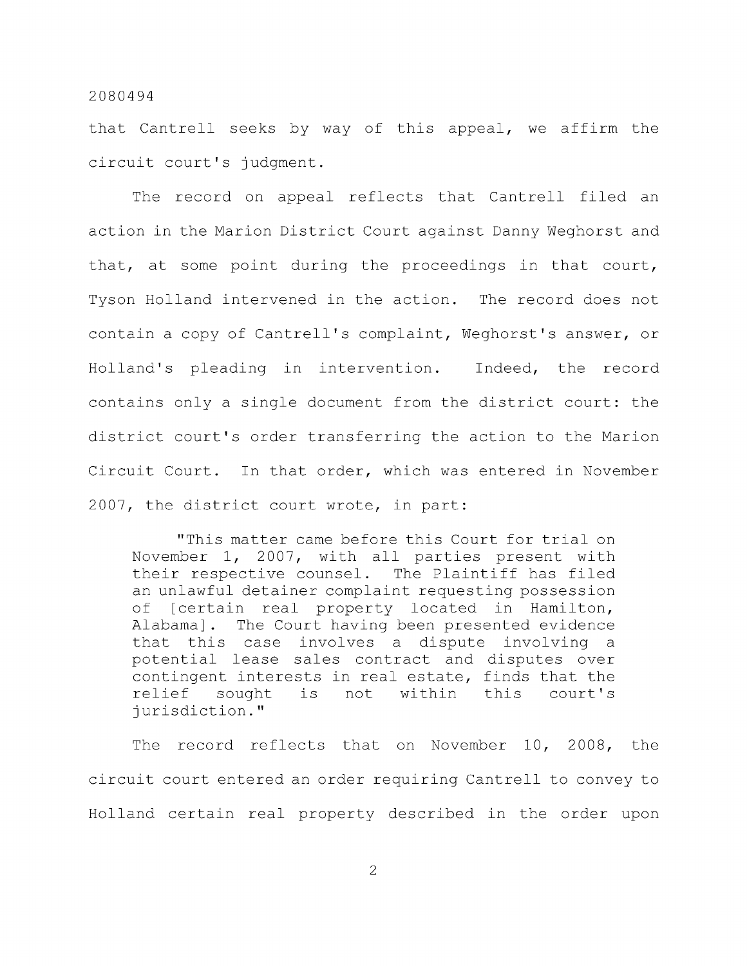that Cantrell seeks by way of this appeal, we affirm the circuit court's judgment.

The record on appeal reflects that Cantrell filed an action in the Marion District Court against Danny Weghorst and that, at some point during the proceedings in that court, Tyson Holland intervened in the action. The record does not contain a copy of Cantrell's complaint, Weghorst's answer, or Holland's pleading in intervention. Indeed, the record contains only a single document from the district court: the district court's order transferring the action to the Marion Circuit Court. In that order, which was entered in November 2007, the district court wrote, in part:

"This matter came before this Court for trial on November 1, 2007, with all parties present with their respective counsel. The Plaintiff has filed an unlawful detainer complaint requesting possession of [certain real property located in Hamilton, Alabama]. The Court having been presented evidence that this case involves a dispute involving a potential lease sales contract and disputes over contingent interests in real estate, finds that the relief sought is not within this court's jurisdiction."

The record reflects that on November 10, 2008, the circuit court entered an order requiring Cantrell to convey to Holland certain real property described in the order upon

2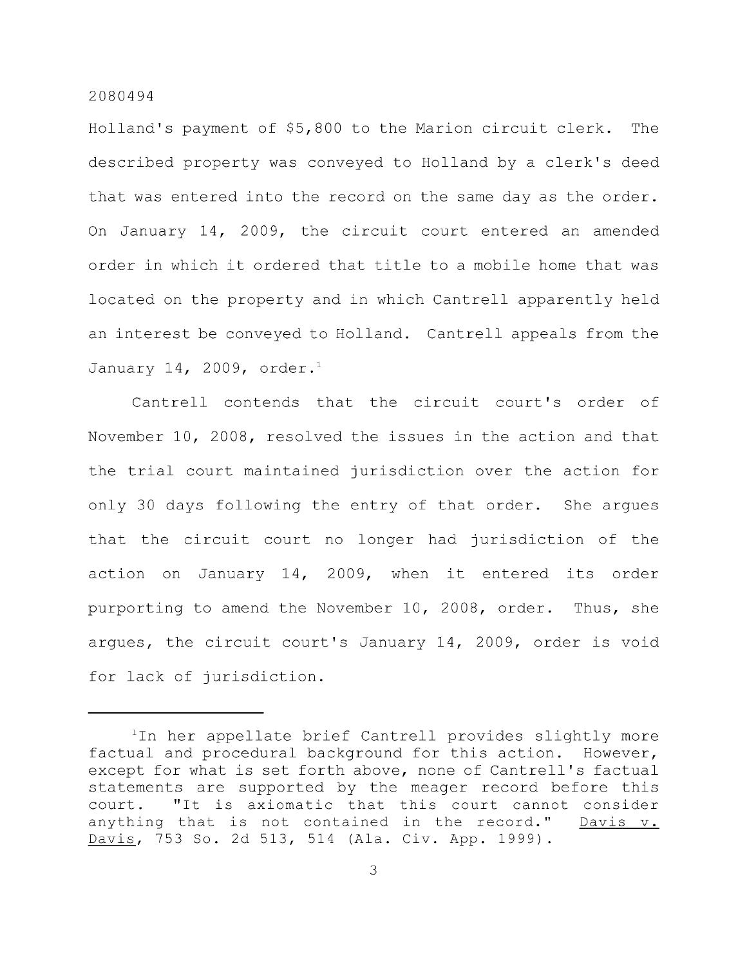Holland's payment of \$5,800 to the Marion circuit clerk. The described property was conveyed to Holland by a clerk's deed that was entered into the record on the same day as the order. On January 14, 2009, the circuit court entered an amended order in which it ordered that title to a mobile home that was located on the property and in which Cantrell apparently held an interest be conveyed to Holland. Cantrell appeals from the January 14, 2009, order.<sup>1</sup>

Cantrell contends that the circuit court's order of November 10, 2008, resolved the issues in the action and that the trial court maintained jurisdiction over the action for only 30 days following the entry of that order. She argues that the circuit court no longer had jurisdiction of the action on January 14, 2009, when it entered its order purporting to amend the November 10, 2008, order. Thus, she argues, the circuit court's January 14, 2009, order is void for lack of jurisdiction.

<sup>&</sup>lt;sup>1</sup>In her appellate brief Cantrell provides slightly more factual and procedural background for this action. However, except for what is set forth above, none of Cantrell's factual statements are supported by the meager record before this court. "It is axiomatic that this court cannot consider anything that is not contained in the record." Davis v. Davis, 753 So. 2d 513, 514 (Ala. Civ. App. 1999).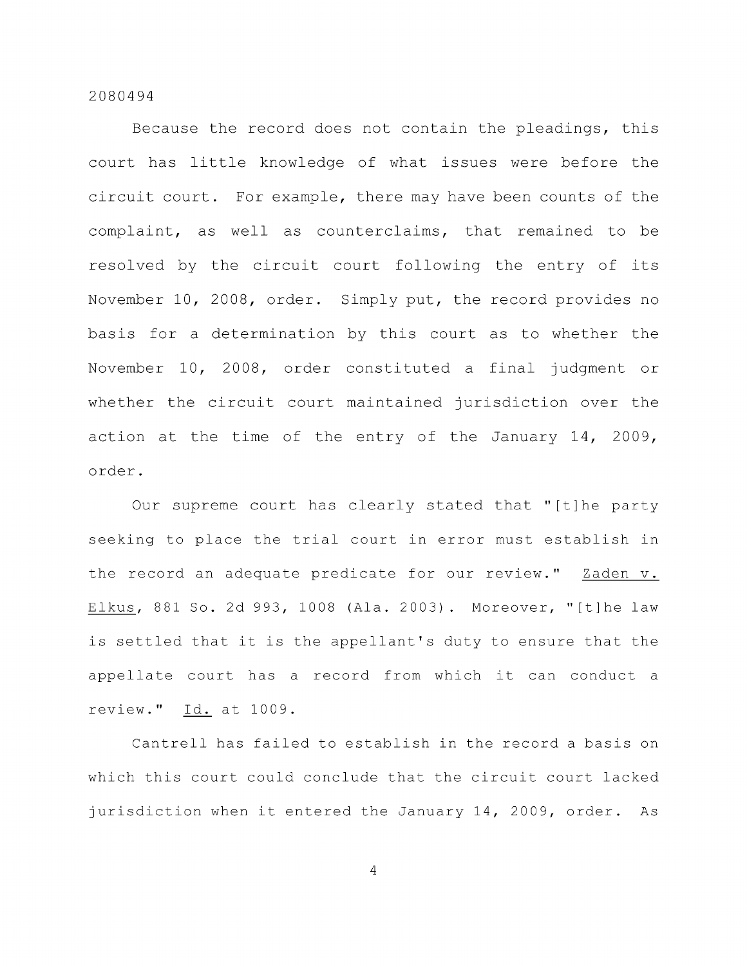Because the record does not contain the pleadings, this court has little knowledge of what issues were before the circuit court. For example, there may have been counts of the complaint, as well as counterclaims, that remained to be resolved by the circuit court following the entry of its November 10, 2008, order. Simply put, the record provides no basis for a determination by this court as to whether the November 10, 2008, order constituted a final judgment or whether the circuit court maintained jurisdiction over the action at the time of the entry of the January 14, 2009, order.

Our supreme court has clearly stated that "[t]he party seeking to place the trial court in error must establish in the record an adequate predicate for our review." Zaden v. Elkus, 881 So. 2d 993, 1008 (Ala. 2003). Moreover, "[t]he law is settled that it is the appellant's duty to ensure that the appellate court has a record from which it can conduct a review." Id. at 1009.

Cantrell has failed to establish in the record a basis on which this court could conclude that the circuit court lacked jurisdiction when it entered the January 14, 2009, order. As

 $\overline{4}$